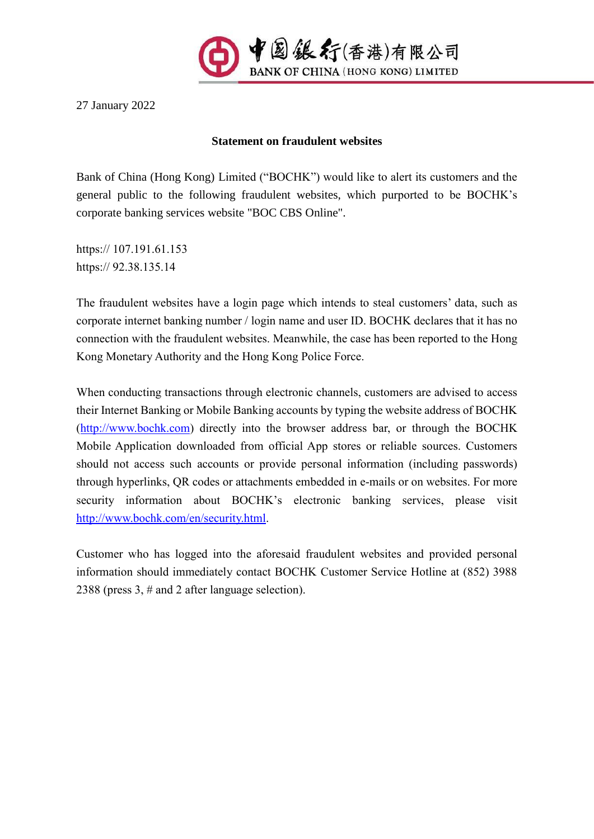

27 January 2022

## **Statement on fraudulent websites**

Bank of China (Hong Kong) Limited ("BOCHK") would like to alert its customers and the general public to the following fraudulent websites, which purported to be BOCHK's corporate banking services website "BOC CBS Online".

https:// 107.191.61.153 https:// 92.38.135.14

The fraudulent websites have a login page which intends to steal customers' data, such as corporate internet banking number / login name and user ID. BOCHK declares that it has no connection with the fraudulent websites. Meanwhile, the case has been reported to the Hong Kong Monetary Authority and the Hong Kong Police Force.

When conducting transactions through electronic channels, customers are advised to access their Internet Banking or Mobile Banking accounts by typing the website address of BOCHK [\(http://www.bochk.com\)](http://www.bochk.com/) directly into the browser address bar, or through the BOCHK Mobile Application downloaded from official App stores or reliable sources. Customers should not access such accounts or provide personal information (including passwords) through hyperlinks, QR codes or attachments embedded in e-mails or on websites. For more security information about BOCHK's electronic banking services, please visit [http://www.bochk.com/en/security.html.](http://www.bochk.com/en/security.html)

Customer who has logged into the aforesaid fraudulent websites and provided personal information should immediately contact BOCHK Customer Service Hotline at (852) 3988 2388 (press 3, # and 2 after language selection).